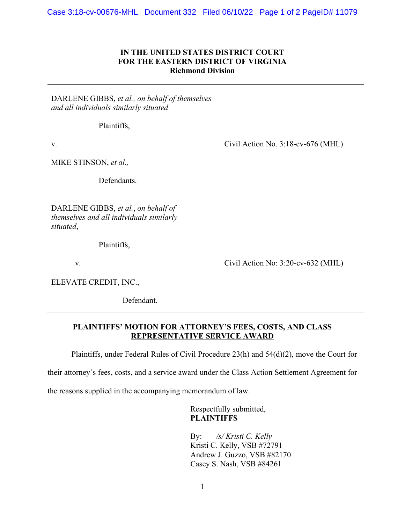## **IN THE UNITED STATES DISTRICT COURT FOR THE EASTERN DISTRICT OF VIRGINIA Richmond Division**

DARLENE GIBBS, *et al., on behalf of themselves and all individuals similarly situated*

Plaintiffs,

v.  $Civil$  Action No. 3:18-cv-676 (MHL)

MIKE STINSON, *et al.,*

Defendants.

DARLENE GIBBS, *et al.*, *on behalf of themselves and all individuals similarly situated*,

Plaintiffs,

v. Civil Action No: 3:20-cv-632 (MHL)

ELEVATE CREDIT, INC.,

Defendant.

## **PLAINTIFFS' MOTION FOR ATTORNEY'S FEES, COSTS, AND CLASS REPRESENTATIVE SERVICE AWARD**

Plaintiffs, under Federal Rules of Civil Procedure 23(h) and 54(d)(2), move the Court for

their attorney's fees, costs, and a service award under the Class Action Settlement Agreement for

the reasons supplied in the accompanying memorandum of law.

Respectfully submitted, **PLAINTIFFS**

By: */s/ Kristi C. Kelly* Kristi C. Kelly, VSB #72791 Andrew J. Guzzo, VSB #82170 Casey S. Nash, VSB #84261